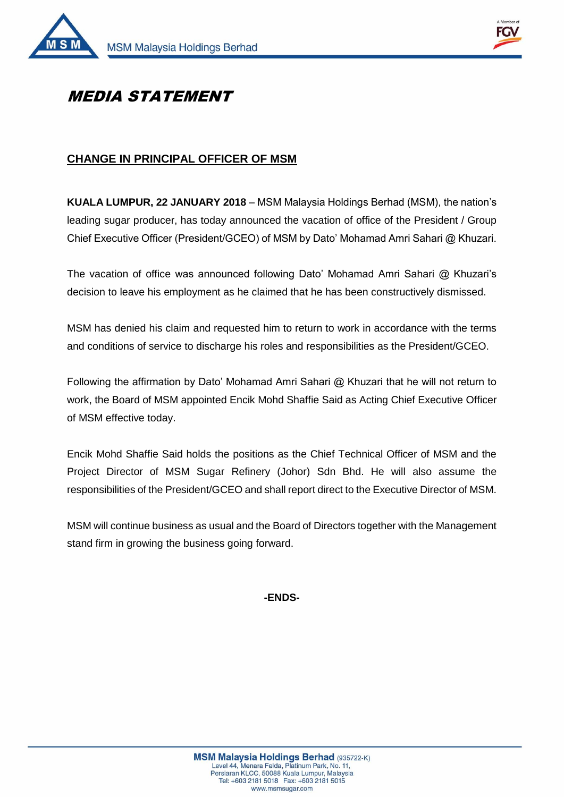



## MEDIA STATEMENT

## **CHANGE IN PRINCIPAL OFFICER OF MSM**

**KUALA LUMPUR, 22 JANUARY 2018** – MSM Malaysia Holdings Berhad (MSM), the nation's leading sugar producer, has today announced the vacation of office of the President / Group Chief Executive Officer (President/GCEO) of MSM by Dato' Mohamad Amri Sahari @ Khuzari.

The vacation of office was announced following Dato' Mohamad Amri Sahari @ Khuzari's decision to leave his employment as he claimed that he has been constructively dismissed.

MSM has denied his claim and requested him to return to work in accordance with the terms and conditions of service to discharge his roles and responsibilities as the President/GCEO.

Following the affirmation by Dato' Mohamad Amri Sahari @ Khuzari that he will not return to work, the Board of MSM appointed Encik Mohd Shaffie Said as Acting Chief Executive Officer of MSM effective today.

Encik Mohd Shaffie Said holds the positions as the Chief Technical Officer of MSM and the Project Director of MSM Sugar Refinery (Johor) Sdn Bhd. He will also assume the responsibilities of the President/GCEO and shall report direct to the Executive Director of MSM.

MSM will continue business as usual and the Board of Directors together with the Management stand firm in growing the business going forward.

**-ENDS-**